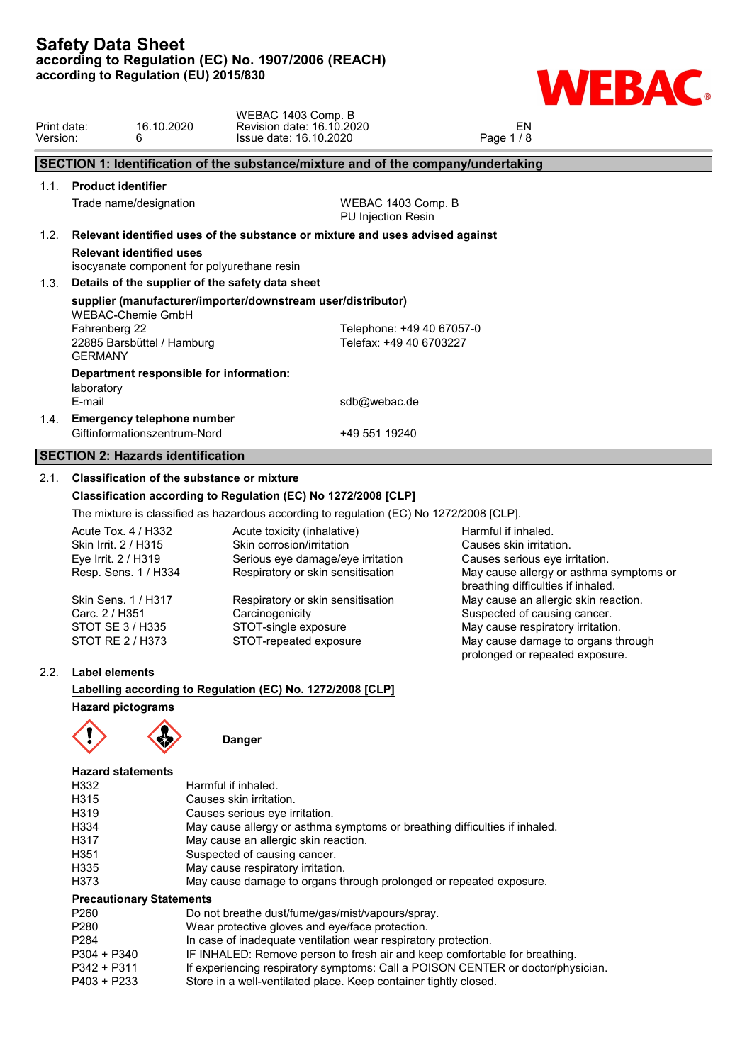

| Print date:<br>Version: | 16.10.2020<br>6                                                                | Revision date: 16.10.2020<br>Issue date: 16.10.2020                                                                  | EN<br>Page 1/8 |  |
|-------------------------|--------------------------------------------------------------------------------|----------------------------------------------------------------------------------------------------------------------|----------------|--|
|                         |                                                                                | SECTION 1: Identification of the substance/mixture and of the company/undertaking                                    |                |  |
| 1.1.                    | <b>Product identifier</b>                                                      |                                                                                                                      |                |  |
|                         | Trade name/designation                                                         | WEBAC 1403 Comp. B<br>PU Injection Resin                                                                             |                |  |
| 1.2.                    |                                                                                | Relevant identified uses of the substance or mixture and uses advised against                                        |                |  |
|                         | <b>Relevant identified uses</b><br>isocyanate component for polyurethane resin |                                                                                                                      |                |  |
| 1.3.                    | Details of the supplier of the safety data sheet                               |                                                                                                                      |                |  |
|                         | <b>WEBAC-Chemie GmbH</b><br>Fahrenberg 22<br>22885 Barsbüttel / Hamburg        | supplier (manufacturer/importer/downstream user/distributor)<br>Telephone: +49 40 67057-0<br>Telefax: +49 40 6703227 |                |  |
| <b>GERMANY</b>          |                                                                                |                                                                                                                      |                |  |
| laboratory              | Department responsible for information:                                        |                                                                                                                      |                |  |
| E-mail                  |                                                                                | sdb@webac.de                                                                                                         |                |  |
| 1.4.                    | <b>Emergency telephone number</b><br>Giftinformationszentrum-Nord              | +49 551 19240                                                                                                        |                |  |
|                         | <b>SECTION 2: Hazards identification</b>                                       |                                                                                                                      |                |  |

### 2.1. **Classification of the substance or mixture**

### **Classification according to Regulation (EC) No 1272/2008 [CLP]**

The mixture is classified as hazardous according to regulation (EC) No 1272/2008 [CLP].

WEBAC 1403 Comp. B

| Acute Tox. 4 / H332  | Acute toxicity (inhalative)       | Harmful if inhaled.                     |  |
|----------------------|-----------------------------------|-----------------------------------------|--|
| Skin Irrit. 2 / H315 | Skin corrosion/irritation         | Causes skin irritation.                 |  |
| Eye Irrit. 2 / H319  | Serious eye damage/eye irritation | Causes serious eye irritation.          |  |
| Resp. Sens. 1 / H334 | Respiratory or skin sensitisation | May cause allergy or asthma symptoms or |  |
|                      |                                   | breathing difficulties if inhaled.      |  |
| Skin Sens. 1 / H317  | Respiratory or skin sensitisation | May cause an allergic skin reaction.    |  |
| Carc. 2 / H351       | Carcinogenicity                   | Suspected of causing cancer.            |  |
| STOT SE 3 / H335     | STOT-single exposure              | May cause respiratory irritation.       |  |
| STOT RE 2 / H373     | STOT-repeated exposure            | May cause damage to organs through      |  |
|                      |                                   | prolonged or repeated exposure.         |  |
|                      |                                   |                                         |  |

# 2.2. **Label elements**

**Labelling according to Regulation (EC) No. 1272/2008 [CLP] Hazard pictograms**



**Danger**

# **Hazard statements**

| H332                            | Harmful if inhaled.                                                         |  |
|---------------------------------|-----------------------------------------------------------------------------|--|
| H315                            | Causes skin irritation.                                                     |  |
| H319                            | Causes serious eye irritation.                                              |  |
| H334                            | May cause allergy or asthma symptoms or breathing difficulties if inhaled.  |  |
| H317                            | May cause an allergic skin reaction.                                        |  |
| H351                            | Suspected of causing cancer.                                                |  |
| H335                            | May cause respiratory irritation.                                           |  |
| H373                            | May cause damage to organs through prolonged or repeated exposure.          |  |
| <b>Precautionary Statements</b> |                                                                             |  |
| P <sub>260</sub>                | Do not breathe dust/fume/gas/mist/vapours/spray.                            |  |
| P <sub>280</sub>                | Wear protective gloves and eye/face protection.                             |  |
| P <sub>284</sub>                | In case of inadequate ventilation wear respiratory protection.              |  |
| P304 + P340                     | IF INHALED: Remove person to fresh air and keep comfortable for breathing.  |  |
| <b>DO 40 L DO 44</b>            | If average a provided a compression of a DOICON CENTED as declaring violent |  |

- P342 + P311 If experiencing respiratory symptoms: Call a POISON CENTER or doctor/physician.
- P403 + P233 Store in a well-ventilated place. Keep container tightly closed.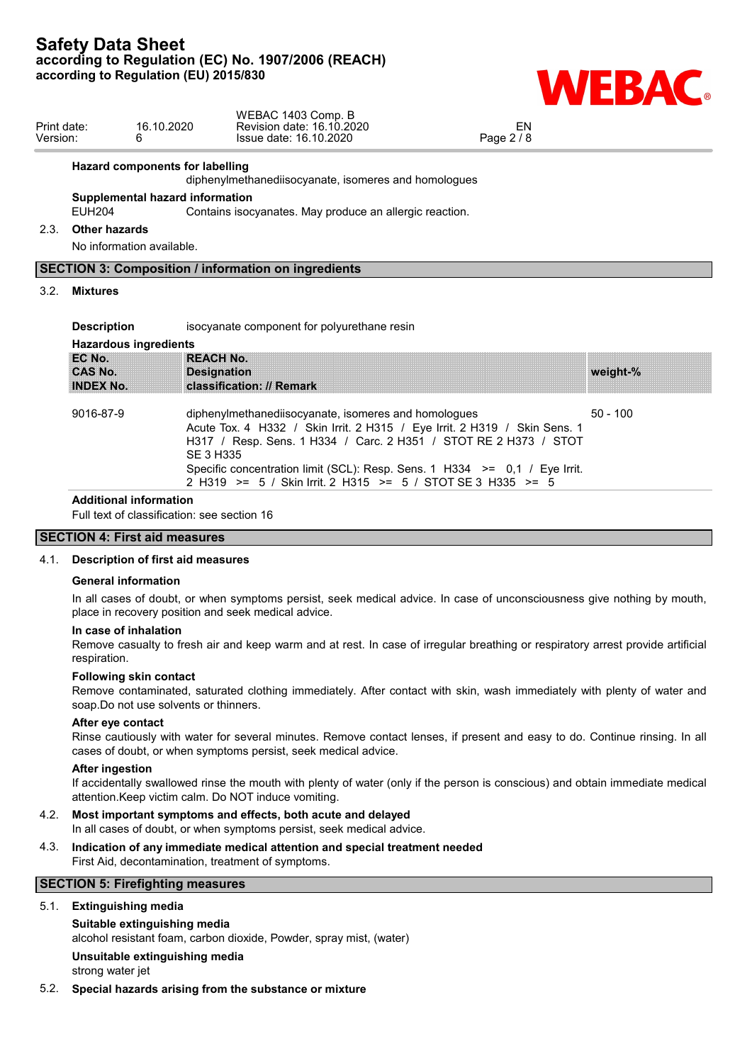

| Print date:<br>Version: |                                    | 16.10.2020<br>6.                       | WEBAC 1403 Comp. B<br>Revision date: 16.10.2020<br>Issue date: 16.10.2020                                                                                                                                                                                                           | <b>EN</b><br>Page 2 / 8 |            |
|-------------------------|------------------------------------|----------------------------------------|-------------------------------------------------------------------------------------------------------------------------------------------------------------------------------------------------------------------------------------------------------------------------------------|-------------------------|------------|
|                         |                                    | <b>Hazard components for labelling</b> | diphenylmethanediisocyanate, isomeres and homologues                                                                                                                                                                                                                                |                         |            |
|                         | <b>EUH204</b>                      | Supplemental hazard information        | Contains isocyanates. May produce an allergic reaction.                                                                                                                                                                                                                             |                         |            |
| 2.3.                    | <b>Other hazards</b>               |                                        |                                                                                                                                                                                                                                                                                     |                         |            |
|                         |                                    | No information available.              |                                                                                                                                                                                                                                                                                     |                         |            |
|                         |                                    |                                        | <b>SECTION 3: Composition / information on ingredients</b>                                                                                                                                                                                                                          |                         |            |
| 3.2.                    | <b>Mixtures</b>                    |                                        |                                                                                                                                                                                                                                                                                     |                         |            |
|                         | <b>Description</b>                 |                                        | isocyanate component for polyurethane resin                                                                                                                                                                                                                                         |                         |            |
|                         |                                    | <b>Hazardous ingredients</b>           |                                                                                                                                                                                                                                                                                     |                         |            |
|                         | EC No.                             | <b>REACH No.</b>                       |                                                                                                                                                                                                                                                                                     |                         |            |
|                         | <b>CAS No.</b><br><b>INDEX No.</b> | <b>Designation</b>                     | classification: // Remark                                                                                                                                                                                                                                                           |                         | weight-%   |
|                         | 9016-87-9                          | <b>SE 3 H335</b>                       | diphenylmethanediisocyanate, isomeres and homologues<br>Acute Tox. 4 H332 / Skin Irrit. 2 H315 / Eye Irrit. 2 H319 / Skin Sens. 1<br>H317 / Resp. Sens. 1 H334 / Carc. 2 H351 / STOT RE 2 H373 / STOT<br>Specific concentration limit (SCL): Resp. Sens. 1 H334 >= 0,1 / Eye Irrit. |                         | $50 - 100$ |
|                         |                                    |                                        | 2 H319 >= 5 / Skin Irrit. 2 H315 >= 5 / STOT SE 3 H335 >= 5                                                                                                                                                                                                                         |                         |            |

#### **Additional information**

Full text of classification: see section 16

## **SECTION 4: First aid measures**

### 4.1. **Description of first aid measures**

#### **General information**

In all cases of doubt, or when symptoms persist, seek medical advice. In case of unconsciousness give nothing by mouth, place in recovery position and seek medical advice.

#### **In case of inhalation**

Remove casualty to fresh air and keep warm and at rest. In case of irregular breathing or respiratory arrest provide artificial respiration.

#### **Following skin contact**

Remove contaminated, saturated clothing immediately. After contact with skin, wash immediately with plenty of water and soap.Do not use solvents or thinners.

### **After eye contact**

Rinse cautiously with water for several minutes. Remove contact lenses, if present and easy to do. Continue rinsing. In all cases of doubt, or when symptoms persist, seek medical advice.

#### **After ingestion**

If accidentally swallowed rinse the mouth with plenty of water (only if the person is conscious) and obtain immediate medical attention.Keep victim calm. Do NOT induce vomiting.

### 4.2. **Most important symptoms and effects, both acute and delayed**

In all cases of doubt, or when symptoms persist, seek medical advice.

### 4.3. **Indication of any immediate medical attention and special treatment needed** First Aid, decontamination, treatment of symptoms.

# **SECTION 5: Firefighting measures**

# 5.1. **Extinguishing media**

**Suitable extinguishing media** alcohol resistant foam, carbon dioxide, Powder, spray mist, (water) **Unsuitable extinguishing media** strong water jet

#### 5.2. **Special hazards arising from the substance or mixture**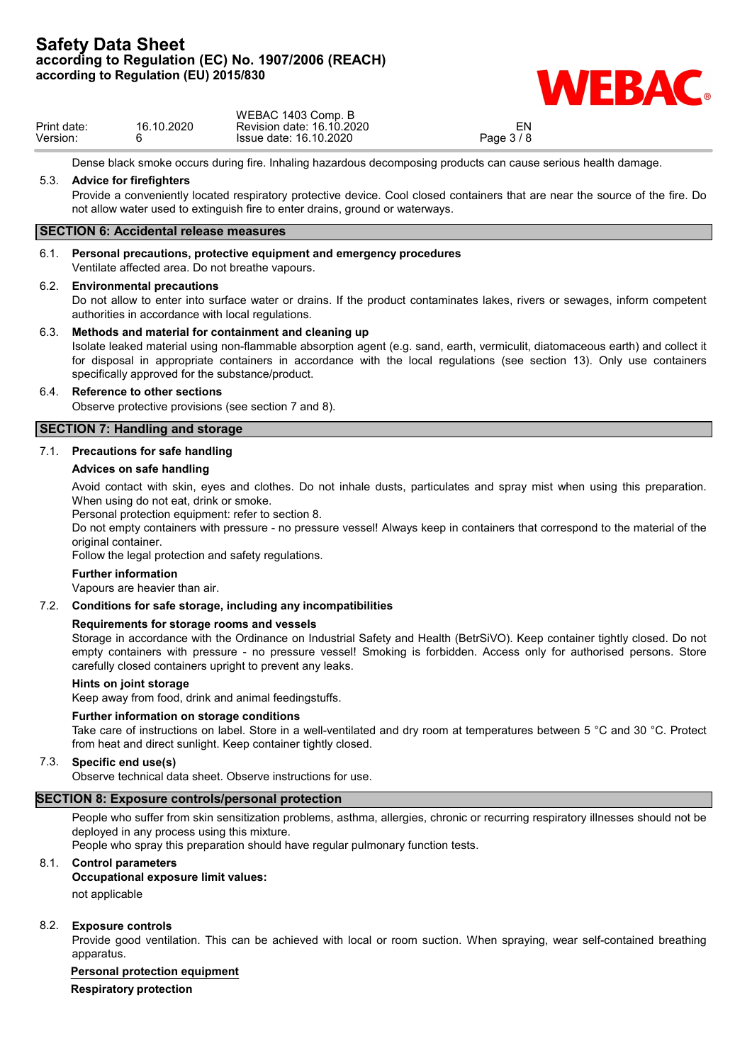

|             |            | WEBAC 1403 Comp. B        |          |  |
|-------------|------------|---------------------------|----------|--|
| Print date: | 16.10.2020 | Revision date: 16.10.2020 | EN       |  |
| Version:    |            | Issue date: 16.10.2020    | Page 3/8 |  |
|             |            |                           |          |  |

Dense black smoke occurs during fire. Inhaling hazardous decomposing products can cause serious health damage.

### 5.3. **Advice for firefighters**

Provide a conveniently located respiratory protective device. Cool closed containers that are near the source of the fire. Do not allow water used to extinguish fire to enter drains, ground or waterways.

### **SECTION 6: Accidental release measures**

# 6.1. **Personal precautions, protective equipment and emergency procedures**

Ventilate affected area. Do not breathe vapours.

#### 6.2. **Environmental precautions**

Do not allow to enter into surface water or drains. If the product contaminates lakes, rivers or sewages, inform competent authorities in accordance with local regulations.

### 6.3. **Methods and material for containment and cleaning up**

Isolate leaked material using non-flammable absorption agent (e.g. sand, earth, vermiculit, diatomaceous earth) and collect it for disposal in appropriate containers in accordance with the local regulations (see section 13). Only use containers specifically approved for the substance/product.

### 6.4. **Reference to other sections**

Observe protective provisions (see section 7 and 8).

### **SECTION 7: Handling and storage**

### 7.1. **Precautions for safe handling**

### **Advices on safe handling**

Avoid contact with skin, eyes and clothes. Do not inhale dusts, particulates and spray mist when using this preparation. When using do not eat, drink or smoke.

Personal protection equipment: refer to section 8.

Do not empty containers with pressure - no pressure vessel! Always keep in containers that correspond to the material of the original container.

Follow the legal protection and safety regulations.

### **Further information**

Vapours are heavier than air.

### 7.2. **Conditions for safe storage, including any incompatibilities**

### **Requirements for storage rooms and vessels**

Storage in accordance with the Ordinance on Industrial Safety and Health (BetrSiVO). Keep container tightly closed. Do not empty containers with pressure - no pressure vessel! Smoking is forbidden. Access only for authorised persons. Store carefully closed containers upright to prevent any leaks.

### **Hints on joint storage**

Keep away from food, drink and animal feedingstuffs.

### **Further information on storage conditions**

Take care of instructions on label. Store in a well-ventilated and dry room at temperatures between 5 °C and 30 °C. Protect from heat and direct sunlight. Keep container tightly closed.

### 7.3. **Specific end use(s)**

Observe technical data sheet. Observe instructions for use.

# **SECTION 8: Exposure controls/personal protection**

People who suffer from skin sensitization problems, asthma, allergies, chronic or recurring respiratory illnesses should not be deployed in any process using this mixture.

People who spray this preparation should have regular pulmonary function tests.

### 8.1. **Control parameters**

### **Occupational exposure limit values:**

not applicable

### 8.2. **Exposure controls**

Provide good ventilation. This can be achieved with local or room suction. When spraying, wear self-contained breathing apparatus.

### **Personal protection equipment**

**Respiratory protection**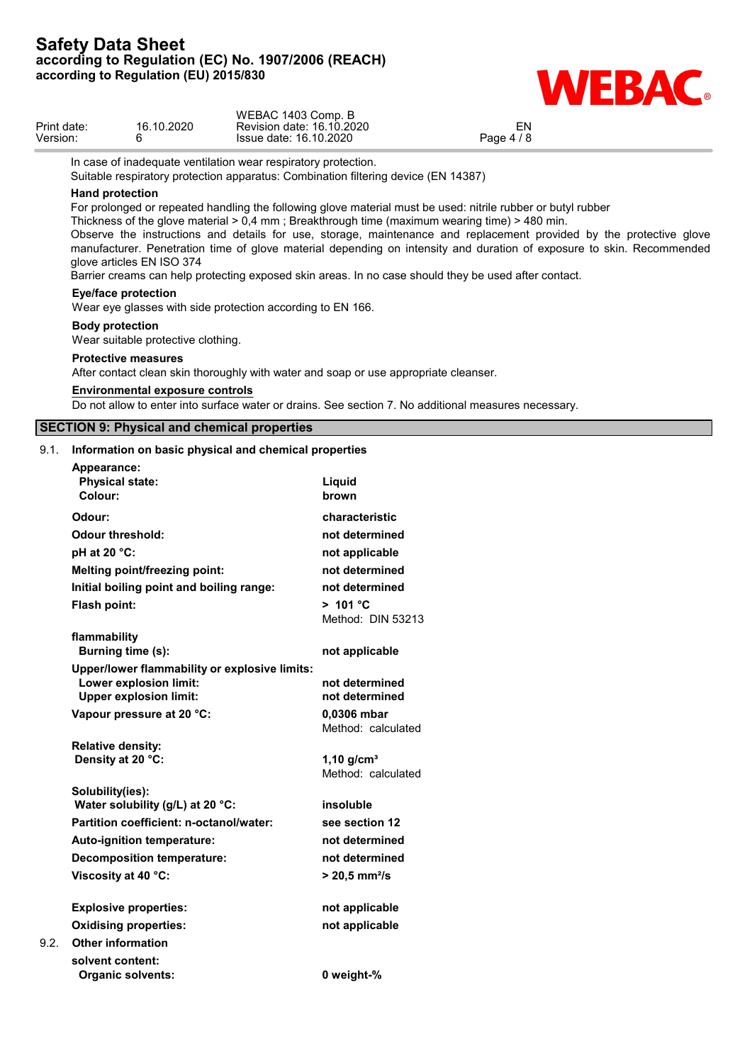

|                         |                                                                                                                                                                                 |                                                                                                                                                                                                                                                                                                                                                                                                                                 | $\blacksquare$                                                                                                                                                                                                                                                                                                                                               |
|-------------------------|---------------------------------------------------------------------------------------------------------------------------------------------------------------------------------|---------------------------------------------------------------------------------------------------------------------------------------------------------------------------------------------------------------------------------------------------------------------------------------------------------------------------------------------------------------------------------------------------------------------------------|--------------------------------------------------------------------------------------------------------------------------------------------------------------------------------------------------------------------------------------------------------------------------------------------------------------------------------------------------------------|
| Print date:<br>Version: | 16.10.2020<br>6                                                                                                                                                                 | WEBAC 1403 Comp. B<br>Revision date: 16.10.2020<br>Issue date: 16.10.2020                                                                                                                                                                                                                                                                                                                                                       | EN<br>Page 4 / 8                                                                                                                                                                                                                                                                                                                                             |
|                         | <b>Hand protection</b><br>glove articles EN ISO 374<br><b>Eye/face protection</b><br><b>Body protection</b><br>Wear suitable protective clothing.<br><b>Protective measures</b> | In case of inadequate ventilation wear respiratory protection.<br>Suitable respiratory protection apparatus: Combination filtering device (EN 14387)<br>Thickness of the glove material $> 0.4$ mm; Breakthrough time (maximum wearing time) $> 480$ min.<br>Barrier creams can help protecting exposed skin areas. In no case should they be used after contact.<br>Wear eye glasses with side protection according to EN 166. | For prolonged or repeated handling the following glove material must be used: nitrile rubber or butyl rubber<br>Observe the instructions and details for use, storage, maintenance and replacement provided by the protective glove<br>manufacturer. Penetration time of glove material depending on intensity and duration of exposure to skin. Recommended |
|                         |                                                                                                                                                                                 | After contact clean skin thoroughly with water and soap or use appropriate cleanser.                                                                                                                                                                                                                                                                                                                                            |                                                                                                                                                                                                                                                                                                                                                              |
|                         | <b>Environmental exposure controls</b>                                                                                                                                          | Do not allow to enter into surface water or drains. See section 7. No additional measures necessary.                                                                                                                                                                                                                                                                                                                            |                                                                                                                                                                                                                                                                                                                                                              |
|                         | <b>SECTION 9: Physical and chemical properties</b>                                                                                                                              |                                                                                                                                                                                                                                                                                                                                                                                                                                 |                                                                                                                                                                                                                                                                                                                                                              |
|                         |                                                                                                                                                                                 | 9.1. Information on basic physical and chemical properties                                                                                                                                                                                                                                                                                                                                                                      |                                                                                                                                                                                                                                                                                                                                                              |
| Appearance:<br>Colour:  | <b>Physical state:</b>                                                                                                                                                          | Liquid<br>brown                                                                                                                                                                                                                                                                                                                                                                                                                 |                                                                                                                                                                                                                                                                                                                                                              |
| Odour:                  |                                                                                                                                                                                 | characteristic                                                                                                                                                                                                                                                                                                                                                                                                                  |                                                                                                                                                                                                                                                                                                                                                              |
|                         | <b>Odour threshold:</b>                                                                                                                                                         | not determined                                                                                                                                                                                                                                                                                                                                                                                                                  |                                                                                                                                                                                                                                                                                                                                                              |
| pH at 20 °C:            |                                                                                                                                                                                 | not applicable                                                                                                                                                                                                                                                                                                                                                                                                                  |                                                                                                                                                                                                                                                                                                                                                              |
|                         | <b>Melting point/freezing point:</b>                                                                                                                                            | not determined<br>not determined                                                                                                                                                                                                                                                                                                                                                                                                |                                                                                                                                                                                                                                                                                                                                                              |
| Flash point:            | Initial boiling point and boiling range:                                                                                                                                        | > 101 °C<br>Method: DIN 53213                                                                                                                                                                                                                                                                                                                                                                                                   |                                                                                                                                                                                                                                                                                                                                                              |
| flammability            | Burning time (s):                                                                                                                                                               | not applicable                                                                                                                                                                                                                                                                                                                                                                                                                  |                                                                                                                                                                                                                                                                                                                                                              |
|                         | Upper/lower flammability or explosive limits:<br>Lower explosion limit:<br><b>Upper explosion limit:</b>                                                                        | not determined<br>not determined                                                                                                                                                                                                                                                                                                                                                                                                |                                                                                                                                                                                                                                                                                                                                                              |
|                         | Vapour pressure at 20 °C:                                                                                                                                                       | 0,0306 mbar<br>Method: calculated                                                                                                                                                                                                                                                                                                                                                                                               |                                                                                                                                                                                                                                                                                                                                                              |
|                         | <b>Relative density:</b><br>Density at 20 °C:                                                                                                                                   | $1,10$ g/cm <sup>3</sup><br>Method: calculated                                                                                                                                                                                                                                                                                                                                                                                  |                                                                                                                                                                                                                                                                                                                                                              |

**Solubility(ies): Water solubility (g/L) at 20 °C: insoluble Partition coefficient: n-octanol/water: see section 12 Auto-ignition temperature: not determined Decomposition temperature: not determined Viscosity at 40 °C: > 20,5 mm²/s**

**Explosive properties: not applicable Oxidising properties: not applicable** 9.2. **Other information solvent content: Organic solvents:**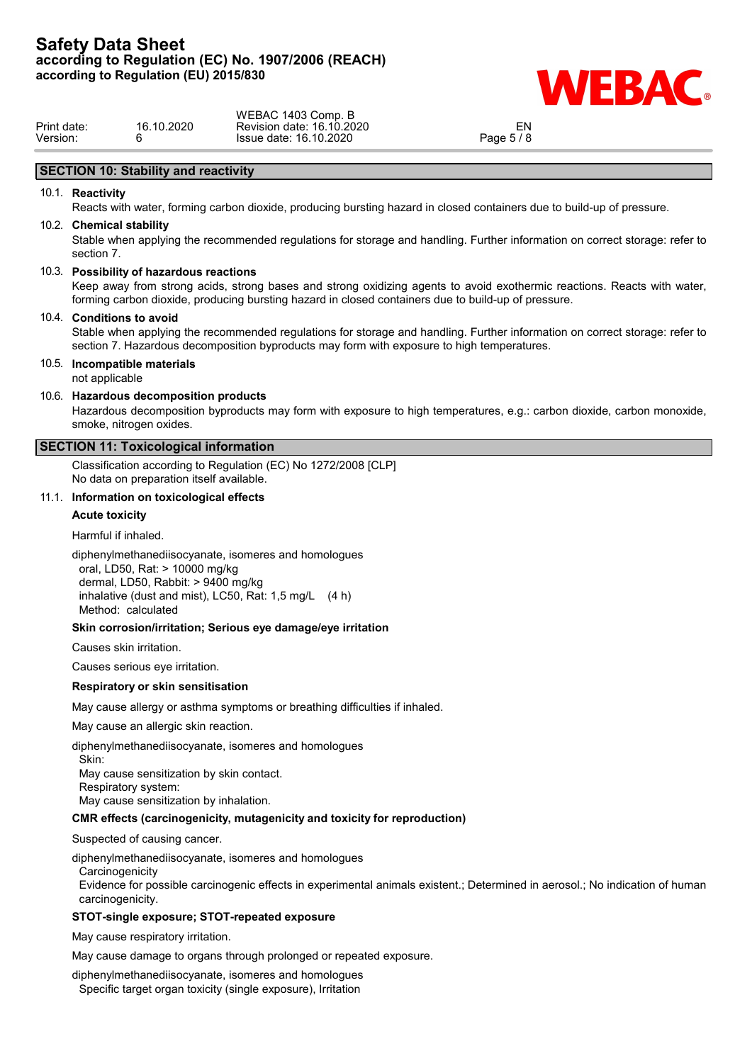

|             |            | WEBAC 1403 Comp. B        |            |  |
|-------------|------------|---------------------------|------------|--|
| Print date: | 16.10.2020 | Revision date: 16.10.2020 | ΕN         |  |
| Version:    |            | Issue date: 16.10.2020    | Page 5 / 8 |  |
|             |            |                           |            |  |

# **SECTION 10: Stability and reactivity**

### 10.1. **Reactivity**

Reacts with water, forming carbon dioxide, producing bursting hazard in closed containers due to build-up of pressure.

#### 10.2. **Chemical stability**

Stable when applying the recommended regulations for storage and handling. Further information on correct storage: refer to section 7.

### 10.3. **Possibility of hazardous reactions**

Keep away from strong acids, strong bases and strong oxidizing agents to avoid exothermic reactions. Reacts with water, forming carbon dioxide, producing bursting hazard in closed containers due to build-up of pressure.

#### 10.4. **Conditions to avoid**

Stable when applying the recommended regulations for storage and handling. Further information on correct storage: refer to section 7. Hazardous decomposition byproducts may form with exposure to high temperatures.

### 10.5. **Incompatible materials**

not applicable

### 10.6. **Hazardous decomposition products**

Hazardous decomposition byproducts may form with exposure to high temperatures, e.g.: carbon dioxide, carbon monoxide, smoke, nitrogen oxides.

# **SECTION 11: Toxicological information**

Classification according to Regulation (EC) No 1272/2008 [CLP] No data on preparation itself available.

# 11.1. **Information on toxicological effects**

#### **Acute toxicity**

Harmful if inhaled.

diphenylmethanediisocyanate, isomeres and homologues oral, LD50, Rat: > 10000 mg/kg dermal, LD50, Rabbit: > 9400 mg/kg inhalative (dust and mist), LC50, Rat: 1,5 mg/L (4 h) Method: calculated

### **Skin corrosion/irritation; Serious eye damage/eye irritation**

Causes skin irritation.

Causes serious eye irritation.

#### **Respiratory or skin sensitisation**

May cause allergy or asthma symptoms or breathing difficulties if inhaled.

May cause an allergic skin reaction.

diphenylmethanediisocyanate, isomeres and homologues

Skin:

May cause sensitization by skin contact. Respiratory system:

May cause sensitization by inhalation.

### **CMR effects (carcinogenicity, mutagenicity and toxicity for reproduction)**

Suspected of causing cancer.

diphenylmethanediisocyanate, isomeres and homologues

**Carcinogenicity** 

Evidence for possible carcinogenic effects in experimental animals existent.; Determined in aerosol.; No indication of human carcinogenicity.

### **STOT-single exposure; STOT-repeated exposure**

May cause respiratory irritation.

May cause damage to organs through prolonged or repeated exposure.

diphenylmethanediisocyanate, isomeres and homologues Specific target organ toxicity (single exposure), Irritation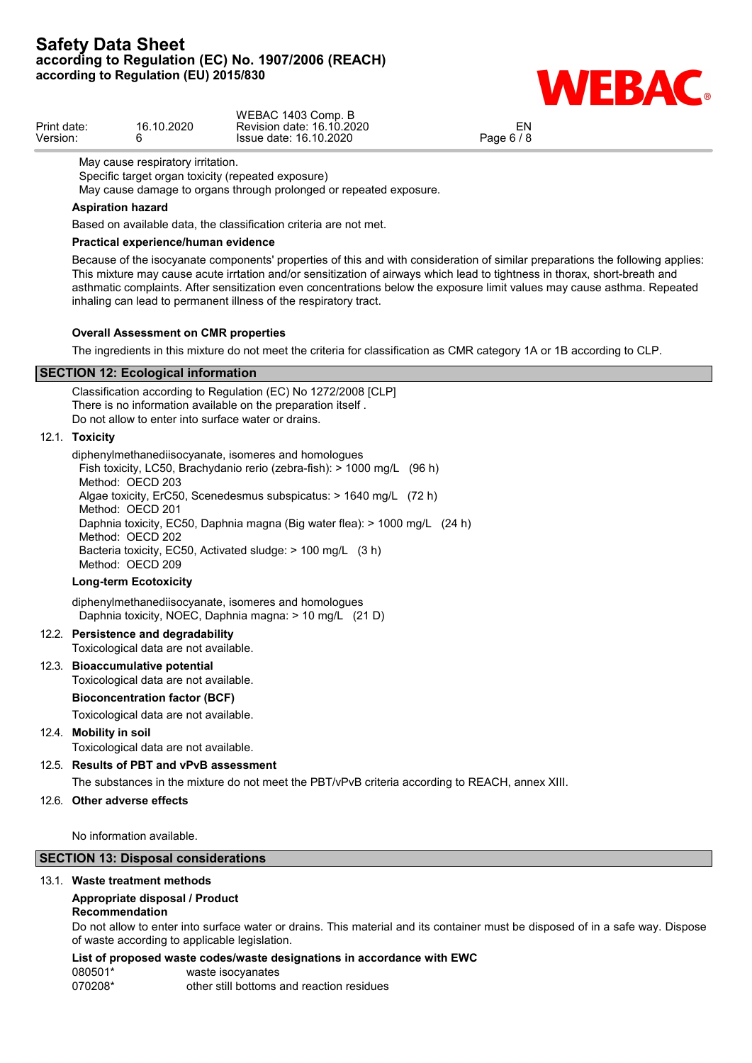

|             |            | WEBAC 1403 Comp. B        |            |  |
|-------------|------------|---------------------------|------------|--|
| Print date: | 16.10.2020 | Revision date: 16.10.2020 |            |  |
| Version:    |            | Issue date: 16.10.2020    | Page 6 / 8 |  |

May cause respiratory irritation.

Specific target organ toxicity (repeated exposure)

May cause damage to organs through prolonged or repeated exposure.

### **Aspiration hazard**

Based on available data, the classification criteria are not met.

# **Practical experience/human evidence**

Because of the isocyanate components' properties of this and with consideration of similar preparations the following applies: This mixture may cause acute irrtation and/or sensitization of airways which lead to tightness in thorax, short-breath and asthmatic complaints. After sensitization even concentrations below the exposure limit values may cause asthma. Repeated inhaling can lead to permanent illness of the respiratory tract.

### **Overall Assessment on CMR properties**

The ingredients in this mixture do not meet the criteria for classification as CMR category 1A or 1B according to CLP.

### **SECTION 12: Ecological information**

Classification according to Regulation (EC) No 1272/2008 [CLP] There is no information available on the preparation itself . Do not allow to enter into surface water or drains.

# 12.1. **Toxicity**

diphenylmethanediisocyanate, isomeres and homologues Fish toxicity, LC50, Brachydanio rerio (zebra-fish): > 1000 mg/L (96 h) Method: OECD 203 Algae toxicity, ErC50, Scenedesmus subspicatus: > 1640 mg/L (72 h) Method: OECD 201 Daphnia toxicity, EC50, Daphnia magna (Big water flea): > 1000 mg/L (24 h) Method: OECD 202 Bacteria toxicity, EC50, Activated sludge: > 100 mg/L (3 h) Method: OECD 209

### **Long-term Ecotoxicity**

diphenylmethanediisocyanate, isomeres and homologues Daphnia toxicity, NOEC, Daphnia magna: > 10 mg/L (21 D)

### 12.2. **Persistence and degradability**

Toxicological data are not available.

### 12.3. **Bioaccumulative potential**

Toxicological data are not available.

### **Bioconcentration factor (BCF)**

Toxicological data are not available.

### 12.4. **Mobility in soil**

Toxicological data are not available.

### 12.5. **Results of PBT and vPvB assessment**

The substances in the mixture do not meet the PBT/vPvB criteria according to REACH, annex XIII.

### 12.6. **Other adverse effects**

No information available.

# **SECTION 13: Disposal considerations**

### 13.1. **Waste treatment methods**

### **Appropriate disposal / Product**

### **Recommendation**

Do not allow to enter into surface water or drains. This material and its container must be disposed of in a safe way. Dispose of waste according to applicable legislation.

### **List of proposed waste codes/waste designations in accordance with EWC**

080501\* waste isocyanates 070208\* other still bottoms and reaction residues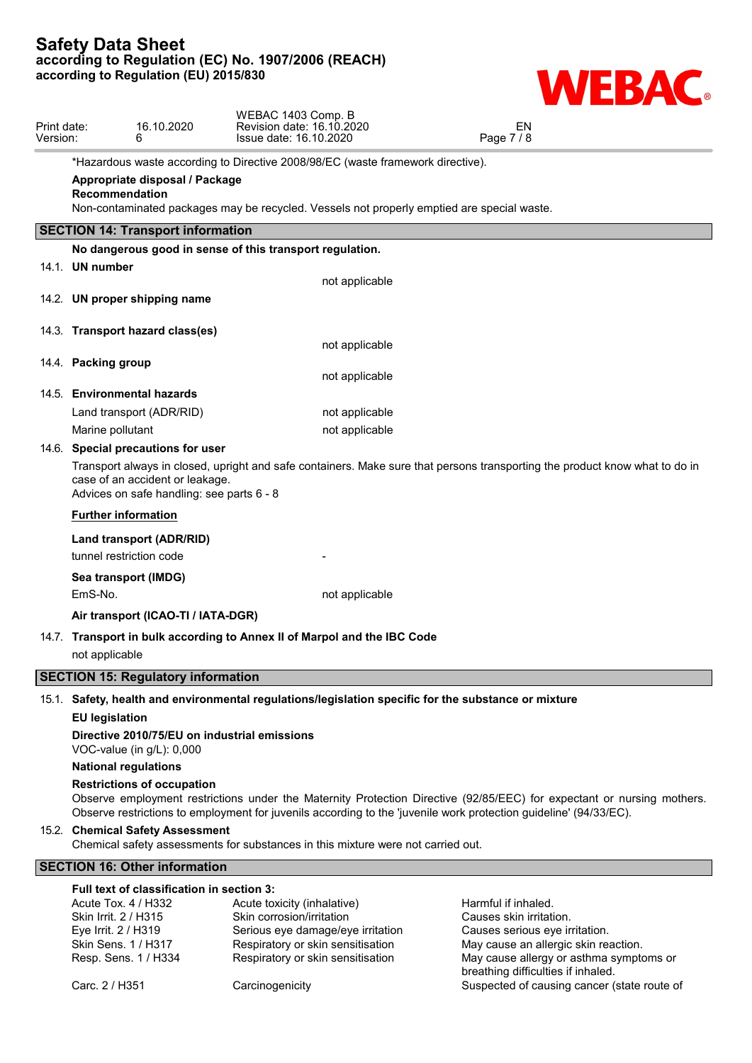

May cause allergy or asthma symptoms or

breathing difficulties if inhaled.

| Print date:<br>Version: |                                                                    | 16.10.2020<br>6                                                              | WEBAC 1403 Comp. B<br>Revision date: 16.10.2020<br>Issue date: 16.10.2020                            | EN<br>Page 7/8                                                                                                                                                                                                                              |
|-------------------------|--------------------------------------------------------------------|------------------------------------------------------------------------------|------------------------------------------------------------------------------------------------------|---------------------------------------------------------------------------------------------------------------------------------------------------------------------------------------------------------------------------------------------|
|                         |                                                                    |                                                                              | *Hazardous waste according to Directive 2008/98/EC (waste framework directive).                      |                                                                                                                                                                                                                                             |
|                         | Recommendation                                                     | Appropriate disposal / Package                                               | Non-contaminated packages may be recycled. Vessels not properly emptied are special waste.           |                                                                                                                                                                                                                                             |
|                         |                                                                    | <b>SECTION 14: Transport information</b>                                     |                                                                                                      |                                                                                                                                                                                                                                             |
|                         |                                                                    |                                                                              | No dangerous good in sense of this transport regulation.                                             |                                                                                                                                                                                                                                             |
|                         | 14.1. UN number                                                    |                                                                              |                                                                                                      |                                                                                                                                                                                                                                             |
|                         |                                                                    |                                                                              | not applicable                                                                                       |                                                                                                                                                                                                                                             |
|                         |                                                                    | 14.2. UN proper shipping name                                                |                                                                                                      |                                                                                                                                                                                                                                             |
|                         |                                                                    | 14.3. Transport hazard class(es)                                             |                                                                                                      |                                                                                                                                                                                                                                             |
|                         |                                                                    |                                                                              | not applicable                                                                                       |                                                                                                                                                                                                                                             |
|                         | 14.4. Packing group                                                |                                                                              | not applicable                                                                                       |                                                                                                                                                                                                                                             |
|                         |                                                                    | 14.5. Environmental hazards                                                  |                                                                                                      |                                                                                                                                                                                                                                             |
|                         |                                                                    | Land transport (ADR/RID)                                                     | not applicable                                                                                       |                                                                                                                                                                                                                                             |
|                         | Marine pollutant                                                   |                                                                              | not applicable                                                                                       |                                                                                                                                                                                                                                             |
|                         |                                                                    | 14.6. Special precautions for user                                           |                                                                                                      |                                                                                                                                                                                                                                             |
|                         |                                                                    | case of an accident or leakage.<br>Advices on safe handling: see parts 6 - 8 |                                                                                                      | Transport always in closed, upright and safe containers. Make sure that persons transporting the product know what to do in                                                                                                                 |
|                         |                                                                    | <b>Further information</b>                                                   |                                                                                                      |                                                                                                                                                                                                                                             |
|                         |                                                                    | Land transport (ADR/RID)                                                     |                                                                                                      |                                                                                                                                                                                                                                             |
|                         |                                                                    | tunnel restriction code                                                      |                                                                                                      |                                                                                                                                                                                                                                             |
|                         |                                                                    | Sea transport (IMDG)                                                         |                                                                                                      |                                                                                                                                                                                                                                             |
|                         | EmS-No.                                                            |                                                                              | not applicable                                                                                       |                                                                                                                                                                                                                                             |
|                         |                                                                    | Air transport (ICAO-TI / IATA-DGR)                                           |                                                                                                      |                                                                                                                                                                                                                                             |
|                         |                                                                    |                                                                              | 14.7. Transport in bulk according to Annex II of Marpol and the IBC Code                             |                                                                                                                                                                                                                                             |
|                         | not applicable                                                     |                                                                              |                                                                                                      |                                                                                                                                                                                                                                             |
|                         |                                                                    | <b>SECTION 15: Regulatory information</b>                                    |                                                                                                      |                                                                                                                                                                                                                                             |
|                         |                                                                    |                                                                              | 15.1. Safety, health and environmental regulations/legislation specific for the substance or mixture |                                                                                                                                                                                                                                             |
|                         | <b>EU legislation</b>                                              |                                                                              |                                                                                                      |                                                                                                                                                                                                                                             |
|                         |                                                                    | VOC-value (in g/L): 0,000                                                    | Directive 2010/75/EU on industrial emissions                                                         |                                                                                                                                                                                                                                             |
|                         |                                                                    | <b>National regulations</b>                                                  |                                                                                                      |                                                                                                                                                                                                                                             |
|                         |                                                                    | <b>Restrictions of occupation</b>                                            |                                                                                                      |                                                                                                                                                                                                                                             |
|                         |                                                                    |                                                                              |                                                                                                      | Observe employment restrictions under the Maternity Protection Directive (92/85/EEC) for expectant or nursing mothers.<br>Observe restrictions to employment for juvenils according to the 'juvenile work protection guideline' (94/33/EC). |
|                         |                                                                    | 15.2. Chemical Safety Assessment                                             | Chemical safety assessments for substances in this mixture were not carried out.                     |                                                                                                                                                                                                                                             |
|                         |                                                                    | <b>SECTION 16: Other information</b>                                         |                                                                                                      |                                                                                                                                                                                                                                             |
|                         | Acute Tox. 4 / H332<br>Skin Irrit. 2 / H315<br>Eye Irrit. 2 / H319 | Full text of classification in section 3:                                    | Acute toxicity (inhalative)<br>Skin corrosion/irritation<br>Serious eye damage/eye irritation        | Harmful if inhaled.<br>Causes skin irritation.<br>Causes serious eye irritation.                                                                                                                                                            |
|                         | Skin Sens. 1 / H317                                                | Resp. Sens. 1 / H334                                                         | Respiratory or skin sensitisation<br>Respiratory or skin sensitisation                               | May cause an allergic skin reaction.<br>May cause allergy or asthma symptoms or                                                                                                                                                             |

Carc. 2 / H351 Carcinogenicity Carcinosenicity Suspected of causing cancer (state route of